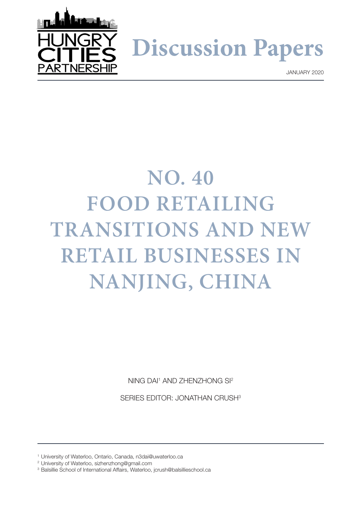

**Discussion Papers**

JANUARY 2020

# **NO. 40 FOOD RETAILING TRANSITIONS AND NEW RETAIL BUSINESSES IN NANJING, CHINA**

NING DAI<sup>1</sup> AND ZHENZHONG SI<sup>2</sup>

SERIES EDITOR: JONATHAN CRUSH3

<sup>1</sup> University of Waterloo, Ontario, Canada, n3dai@uwaterloo.ca

<sup>2</sup> University of Waterloo, sizhenzhong@gmail.com

<sup>&</sup>lt;sup>3</sup> Balsillie School of International Affairs, Waterloo, [jcrush@balsillieschool.ca](mailto:jcrush%40balsillieschool.ca?subject=)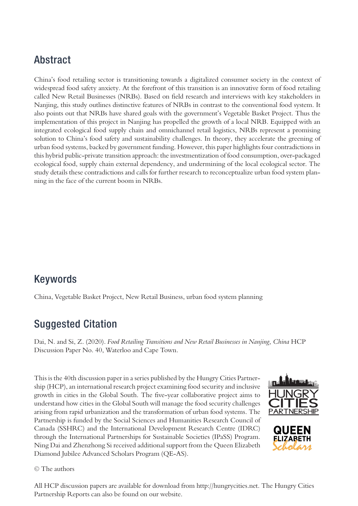# Abstract

China's food retailing sector is transitioning towards a digitalized consumer society in the context of widespread food safety anxiety. At the forefront of this transition is an innovative form of food retailing called New Retail Businesses (NRBs). Based on field research and interviews with key stakeholders in Nanjing, this study outlines distinctive features of NRBs in contrast to the conventional food system. It also points out that NRBs have shared goals with the government's Vegetable Basket Project. Thus the implementation of this project in Nanjing has propelled the growth of a local NRB. Equipped with an integrated ecological food supply chain and omnichannel retail logistics, NRBs represent a promising solution to China's food safety and sustainability challenges. In theory, they accelerate the greening of urban food systems, backed by government funding. However, this paper highlights four contradictions in this hybrid public-private transition approach: the investmentization of food consumption, over-packaged ecological food, supply chain external dependency, and undermining of the local ecological sector. The study details these contradictions and calls for further research to reconceptualize urban food system planning in the face of the current boom in NRBs.

### Keywords

China, Vegetable Basket Project, New Retail Business, urban food system planning

### Suggested Citation

Dai, N. and Si, Z. (2020). *Food Retailing Transitions and New Retail Businesses in Nanjing, China* HCP Discussion Paper No. 40, Waterloo and Cape Town.

This is the 40th discussion paper in a series published by the Hungry Cities Partnership (HCP), an international research project examining food security and inclusive growth in cities in the Global South. The five-year collaborative project aims to understand how cities in the Global South will manage the food security challenges arising from rapid urbanization and the transformation of urban food systems. The Partnership is funded by the Social Sciences and Humanities Research Council of Canada (SSHRC) and the International Development Research Centre (IDRC) through the International Partnerships for Sustainable Societies (IPaSS) Program. Ning Dai and Zhenzhong Si received additional support from the Queen Elizabeth Diamond Jubilee Advanced Scholars Program (QE-AS).





© The authors

All HCP discussion papers are available for download from http://hungrycities.net. The Hungry Cities Partnership Reports can also be found on our website.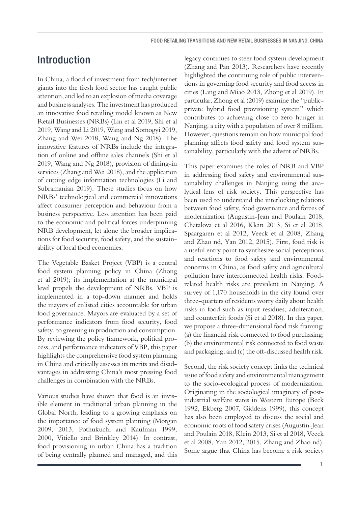# Introduction

In China, a flood of investment from tech/internet giants into the fresh food sector has caught public attention, and led to an explosion of media coverage and business analyses. The investment has produced an innovative food retailing model known as New Retail Businesses (NRBs) (Lin et al 2019, Shi et al 2019, Wang and Li 2019, Wang and Somogyi 2019, Zhang and Wei 2018, Wang and Ng 2018). The innovative features of NRBs include the integration of online and offline sales channels (Shi et al 2019, Wang and Ng 2018), provision of dining-in services (Zhang and Wei 2018), and the application of cutting edge information technologies (Li and Subramanian 2019). These studies focus on how NRBs' technological and commercial innovations affect consumer perception and behaviour from a business perspective. Less attention has been paid to the economic and political forces underpinning NRB development, let alone the broader implications for food security, food safety, and the sustainability of local food economies.

The Vegetable Basket Project (VBP) is a central food system planning policy in China (Zhong et al 2019); its implementation at the municipal level propels the development of NRBs. VBP is implemented in a top-down manner and holds the mayors of enlisted cities accountable for urban food governance. Mayors are evaluated by a set of performance indicators from food security, food safety, to greening in production and consumption. By reviewing the policy framework, political process, and performance indicators of VBP, this paper highlights the comprehensive food system planning in China and critically assesses its merits and disadvantages in addressing China's most pressing food challenges in combination with the NRBs.

Various studies have shown that food is an invisible element in traditional urban planning in the Global North, leading to a growing emphasis on the importance of food system planning (Morgan 2009, 2013, Pothukuchi and Kaufman 1999, 2000, Vitiello and Brinkley 2014). In contrast, food provisioning in urban China has a tradition of being centrally planned and managed, and this

legacy continues to steer food system development (Zhang and Pan 2013). Researchers have recently highlighted the continuing role of public interventions in governing food security and food access in cities (Lang and Miao 2013, Zhong et al 2019). In particular, Zhong et al (2019) examine the "publicprivate hybrid food provisioning system" which contributes to achieving close to zero hunger in Nanjing, a city with a population of over 8 million. However, questions remain on how municipal food planning affects food safety and food system sustainability, particularly with the advent of NRBs.

This paper examines the roles of NRB and VBP in addressing food safety and environmental sustainability challenges in Nanjing using the analytical lens of risk society. This perspective has been used to understand the interlocking relations between food safety, food governance and forces of modernization (Augustin-Jean and Poulain 2018, Chatalova et al 2016, Klein 2013, Si et al 2018, Spaargaren et al 2012, Veeck et al 2008, Zhang and Zhao nd, Yan 2012, 2015). First, food risk is a useful entry point to synthesize social perceptions and reactions to food safety and environmental concerns in China, as food safety and agricultural pollution have interconnected health risks. Foodrelated health risks are prevalent in Nanjing. A survey of 1,170 households in the city found over three-quarters of residents worry daily about health risks in food such as input residues, adulteration, and counterfeit foods (Si et al 2018). In this paper, we propose a three-dimensional food risk framing: (a) the financial risk connected to food purchasing; (b) the environmental risk connected to food waste and packaging; and (c) the oft-discussed health risk.

Second, the risk society concept links the technical issue of food safety and environmental management to the socio-ecological process of modernization. Originating in the sociological imaginary of postindustrial welfare states in Western Europe (Beck 1992, Ekberg 2007, Giddens 1999), this concept has also been employed to discuss the social and economic roots of food safety crises (Augustin-Jean and Poulain 2018, Klein 2013, Si et al 2018, Veeck et al 2008, Yan 2012, 2015, Zhang and Zhao nd). Some argue that China has become a risk society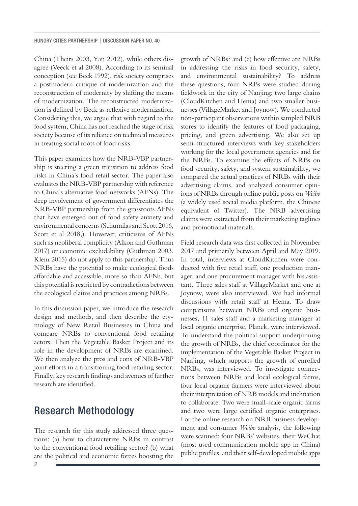China (Theirs 2003, Yan 2012), while others disagree (Veeck et al 2008). According to its seminal conception (see Beck 1992), risk society comprises a postmodern critique of modernization and the reconstruction of modernity by shifting the means of modernization. The reconstructed modernization is defined by Beck as reflexive modernization. Considering this, we argue that with regard to the food system, China has not reached the stage of risk society because of its reliance on technical measures in treating social roots of food risks.

This paper examines how the NRB-VBP partnership is steering a green transition to address food risks in China's food retail sector. The paper also evaluates the NRB-VBP partnership with reference to China's alternative food networks (AFNs). The deep involvement of government differentiates the NRB-VBP partnership from the grassroots AFNs that have emerged out of food safety anxiety and environmental concerns (Schumilas and Scott 2016, Scott et al 2018,). However, criticisms of AFNs such as neoliberal complicity (Alkon and Guthman 2017) or economic excludability (Guthman 2003, Klein 2015) do not apply to this partnership. Thus NRBs have the potential to make ecological foods affordable and accessible, more so than AFNs, but this potential is restricted by contradictions between the ecological claims and practices among NRBs.

In this discussion paper, we introduce the research design and methods, and then describe the etymology of New Retail Businesses in China and compare NRBs to conventional food retailing actors. Then the Vegetable Basket Project and its role in the development of NRBs are examined. We then analyze the pros and cons of NRB-VBP joint efforts in a transitioning food retailing sector. Finally, key research findings and avenues of further research are identified.

### Research Methodology

The research for this study addressed three questions: (a) how to characterize NRBs in contrast to the conventional food retailing sector? (b) what are the political and economic forces boosting the growth of NRBs? and (c) how effective are NRBs in addressing the risks in food security, safety, and environmental sustainability? To address these questions, four NRBs were studied during fieldwork in the city of Nanjing: two large chains (CloudKitchen and Hema) and two smaller businesses (VillageMarket and Joynow). We conducted non-participant observations within sampled NRB stores to identify the features of food packaging, pricing, and green advertising. We also set up semi-structured interviews with key stakeholders working for the local government agencies and for the NRBs. To examine the effects of NRBs on food security, safety, and system sustainability, we compared the actual practices of NRBs with their advertising claims, and analyzed consumer opinions of NRBs through online public posts on *Weibo* (a widely used social media platform, the Chinese equivalent of Twitter). The NRB advertising claims were extracted from their marketing taglines and promotional materials.

Field research data was first collected in November 2017 and primarily between April and May 2019. In total, interviews at CloudKitchen were conducted with five retail staff, one production manager, and one procurement manager with his assistant. Three sales staff at VillageMarket and one at Joynow, were also interviewed. We had informal discussions with retail staff at Hema. To draw comparisons between NRBs and organic businesses, 11 sales staff and a marketing manager at local organic enterprise, Planck, were interviewed. To understand the political support underpinning the growth of NRBs, the chief coordinator for the implementation of the Vegetable Basket Project in Nanjing, which supports the growth of enrolled NRBs, was interviewed. To investigate connections between NRBs and local ecological farms, four local organic farmers were interviewed about their interpretation of NRB models and inclination to collaborate. Two were small-scale organic farms and two were large certified organic enterprises. For the online research on NRB business development and consumer *Weibo* analysis, the following were scanned: four NRBs' websites, their WeChat (most used communication mobile app in China) public profiles, and their self-developed mobile apps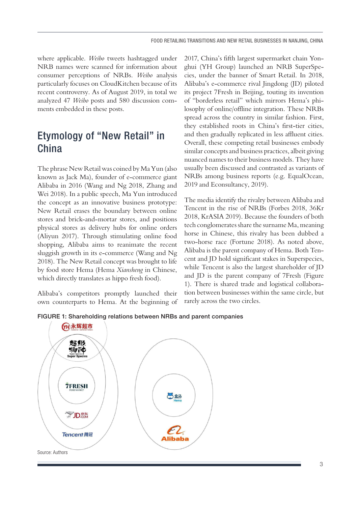where applicable. *Weibo* tweets hashtagged under NRB names were scanned for information about consumer perceptions of NRBs. *Weibo* analysis particularly focuses on CloudKitchen because of its recent controversy. As of August 2019, in total we analyzed 47 *Weibo* posts and 580 discussion comments embedded in these posts.

### Etymology of "New Retail" in China

The phrase New Retail was coined by Ma Yun (also known as Jack Ma), founder of e-commerce giant Alibaba in 2016 (Wang and Ng 2018, Zhang and Wei 2018). In a public speech, Ma Yun introduced the concept as an innovative business prototype: New Retail erases the boundary between online stores and brick-and-mortar stores, and positions physical stores as delivery hubs for online orders (Aliyun 2017). Through stimulating online food shopping, Alibaba aims to reanimate the recent sluggish growth in its e-commerce (Wang and Ng 2018). The New Retail concept was brought to life by food store Hema (Hema *Xiansheng* in Chinese, which directly translates as hippo fresh food).

Alibaba's competitors promptly launched their own counterparts to Hema. At the beginning of 2017, China's fifth largest supermarket chain Yonghui (YH Group) launched an NRB SuperSpecies, under the banner of Smart Retail. In 2018, Alibaba's e-commerce rival Jingdong (JD) piloted its project 7Fresh in Beijing, touting its invention of "borderless retail" which mirrors Hema's philosophy of online/offline integration. These NRBs spread across the country in similar fashion. First, they established roots in China's first-tier cities, and then gradually replicated in less affluent cities. Overall, these competing retail businesses embody similar concepts and business practices, albeit giving nuanced names to their business models. They have usually been discussed and contrasted as variants of NRBs among business reports (e.g. EqualOcean, 2019 and Econsultancy, 2019).

The media identify the rivalry between Alibaba and Tencent in the rise of NRBs (Forbes 2018, 36Kr 2018, KrASIA 2019). Because the founders of both tech conglomerates share the surname Ma, meaning horse in Chinese, this rivalry has been dubbed a two-horse race (Fortune 2018). As noted above, Alibaba is the parent company of Hema. Both Tencent and JD hold significant stakes in Superspecies, while Tencent is also the largest shareholder of JD and JD is the parent company of 7Fresh (Figure 1). There is shared trade and logistical collaboration between businesses within the same circle, but rarely across the two circles.



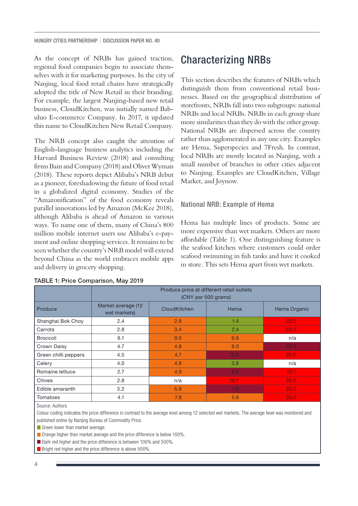HUNGRY CITIES PARTNERSHIP | DISCUSSION PAPER NO. 40

As the concept of NRBs has gained traction, regional food companies begin to associate themselves with it for marketing purposes. In the city of Nanjing, local food retail chains have strategically adopted the title of New Retail in their branding. For example, the largest Nanjing-based new retail business, CloudKitchen, was initially named Babuluo E-commerce Company. In 2017, it updated this name to CloudKitchen New Retail Company.

The NRB concept also caught the attention of English-language business analytics including the Harvard Business Review (2018) and consulting firms Bain and Company (2018) and Oliver Wyman (2018). These reports depict Alibaba's NRB debut as a pioneer, foreshadowing the future of food retail in a globalized digital economy. Studies of the "Amazonification" of the food economy reveals parallel innovations led by Amazon (McKee 2018), although Alibaba is ahead of Amazon in various ways. To name one of them, many of China's 800 million mobile internet users use Alibaba's e-payment and online shopping services. It remains to be seen whether the country's NRB model will extend beyond China as the world embraces mobile apps and delivery in grocery shopping.

### Characterizing NRBs

This section describes the features of NRBs which distinguish them from conventional retail businesses. Based on the geographical distribution of storefronts, NRBs fall into two subgroups: national NRBs and local NRBs. NRBs in each group share more similarities than they do with the other group. National NRBs are dispersed across the country rather than agglomerated in any one city. Examples are Hema, Superspecies and 7Fresh. In contrast, local NRBs are mostly located in Nanjing, with a small number of branches in other cities adjacent to Nanjing. Examples are CloudKitchen, Village Market, and Joynow.

#### National NRB: Example of Hema

Hema has multiple lines of products. Some are more expensive than wet markets. Others are more affordable (Table 1). One distinguishing feature is the seafood kitchen where customers could order seafood swimming in fish tanks and have it cooked in store. This sets Hema apart from wet markets.

|                      | Produce price at different retail outlets<br>(CNY per 500 grams) |                     |      |              |
|----------------------|------------------------------------------------------------------|---------------------|------|--------------|
| Produce              | Market average (12<br>wet markets)                               | <b>CloudKitchen</b> | Hema | Hema Organic |
| Shanghai Bok Choy    | 2.4                                                              | 2.9                 | 1.4  | 23.0         |
| Carrots              | 2.8                                                              | 3.4                 | 2.4  | 23.5         |
| <b>Broccoli</b>      | 6.1                                                              | 9.0                 | 6.6  | n/a          |
| Crown Daisy          | 4.7                                                              | 4.8                 | 8.0  | 23.0         |
| Green chilli peppers | 4.5                                                              | 4.7                 | 12.0 | 25.6         |
| Celery               | 4.0                                                              | 4.8                 | 3.8  | n/a          |
| Romaine lettuce      | 2.7                                                              | 4.9                 | 8.0  | 19.7         |
| Chives               | 2.8                                                              | n/a                 | 19.7 | 25.6         |
| Edible amaranth      | 3.2                                                              | 5.8                 | 7.0  | 23.0         |
| Tomatoes             | 4.1                                                              | 7.8                 | 5.6  | 25.4         |

#### TABLE 1: Price Comparison, May 2019

Source: Authors

Colour coding indicates the price difference in contrast to the average level among 12 selected wet markets. The average level was monitored and published online by Nanjing Bureau of Commodity Price.

Green lower than market average.

**Orange higher than market average and the price difference is below 100%.** 

Dark red higher and the price difference is between 100% and 500%

**Bright red higher and the price difference is above 500%**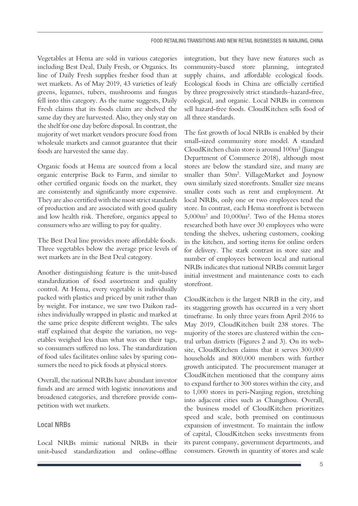Vegetables at Hema are sold in various categories including Best Deal, Daily Fresh, or Organics. Its line of Daily Fresh supplies fresher food than at wet markets. As of May 2019, 43 varieties of leafy greens, legumes, tubers, mushrooms and fungus fell into this category. As the name suggests, Daily Fresh claims that its foods claim are shelved the same day they are harvested. Also, they only stay on the shelf for one day before disposal. In contrast, the majority of wet market vendors procure food from wholesale markets and cannot guarantee that their foods are harvested the same day.

Organic foods at Hema are sourced from a local organic enterprise Back to Farm, and similar to other certified organic foods on the market, they are consistently and significantly more expensive. They are also certified with the most strict standards of production and are associated with good quality and low health risk. Therefore, organics appeal to consumers who are willing to pay for quality.

The Best Deal line provides more affordable foods. Three vegetables below the average price levels of wet markets are in the Best Deal category.

Another distinguishing feature is the unit-based standardization of food assortment and quality control. At Hema, every vegetable is individually packed with plastics and priced by unit rather than by weight. For instance, we saw two Daikon radishes individually wrapped in plastic and marked at the same price despite different weights. The sales staff explained that despite the variation, no vegetables weighed less than what was on their tags, so consumers suffered no loss. The standardization of food sales facilitates online sales by sparing consumers the need to pick foods at physical stores.

Overall, the national NRBs have abundant investor funds and are armed with logistic innovations and broadened categories, and therefore provide competition with wet markets.

#### Local NRBs

Local NRBs mimic national NRBs in their unit-based standardization and online-offline

integration, but they have new features such as community-based store planning, integrated supply chains, and affordable ecological foods. Ecological foods in China are officially certified by three progressively strict standards–hazard-free, ecological, and organic. Local NRBs in common sell hazard-free foods. CloudKitchen sells food of all three standards.

The fast growth of local NRBs is enabled by their small-sized community store model. A standard CloudKitchen chain store is around 100m<sup>2</sup> (Jiangsu Department of Commerce 2018), although most stores are below the standard size, and many are smaller than 50m2 . VillageMarket and Joynow own similarly sized storefronts. Smaller size means smaller costs such as rent and employment. At local NRBs, only one or two employees tend the store. In contrast, each Hema storefront is between 5,000m2 and 10,000m2 . Two of the Hema stores researched both have over 30 employees who were tending the shelves, ushering customers, cooking in the kitchen, and sorting items for online orders for delivery. The stark contrast in store size and number of employees between local and national NRBs indicates that national NRBs commit larger initial investment and maintenance costs to each storefront.

CloudKitchen is the largest NRB in the city, and its staggering growth has occurred in a very short timeframe. In only three years from April 2016 to May 2019, CloudKitchen built 238 stores. The majority of the stores are clustered within the central urban districts (Figures 2 and 3). On its website, CloudKitchen claims that it serves 300,000 households and 800,000 members with further growth anticipated. The procurement manager at CloudKitchen mentioned that the company aims to expand further to 300 stores within the city, and to 1,000 stores in peri-Nanjing region, stretching into adjacent cities such as Changzhou. Overall, the business model of CloudKitchen prioritizes speed and scale, both premised on continuous expansion of investment. To maintain the inflow of capital, CloudKitchen seeks investments from its parent company, government departments, and consumers. Growth in quantity of stores and scale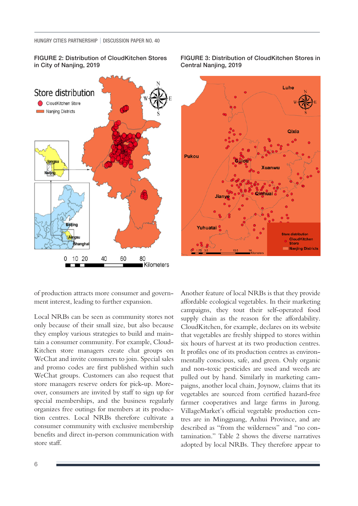FIGURE 2: Distribution of CloudKitchen Stores in City of Nanjing, 2019



FIGURE 3: Distribution of CloudKitchen Stores in Central Nanjing, 2019



of production attracts more consumer and government interest, leading to further expansion.

Local NRBs can be seen as community stores not only because of their small size, but also because they employ various strategies to build and maintain a consumer community. For example, Cloud-Kitchen store managers create chat groups on WeChat and invite consumers to join. Special sales and promo codes are first published within such WeChat groups. Customers can also request that store managers reserve orders for pick-up. Moreover, consumers are invited by staff to sign up for special memberships, and the business regularly organizes free outings for members at its production centres. Local NRBs therefore cultivate a consumer community with exclusive membership benefits and direct in-person communication with store staff.

Another feature of local NRBs is that they provide affordable ecological vegetables. In their marketing campaigns, they tout their self-operated food supply chain as the reason for the affordability. CloudKitchen, for example, declares on its website that vegetables are freshly shipped to stores within six hours of harvest at its two production centres. It profiles one of its production centres as environmentally conscious, safe, and green. Only organic and non-toxic pesticides are used and weeds are pulled out by hand. Similarly in marketing campaigns, another local chain, Joynow, claims that its vegetables are sourced from certified hazard-free farmer cooperatives and large farms in Jurong. VillageMarket's official vegetable production centres are in Mingguang, Anhui Province, and are described as "from the wilderness" and "no contamination." Table 2 shows the diverse narratives adopted by local NRBs. They therefore appear to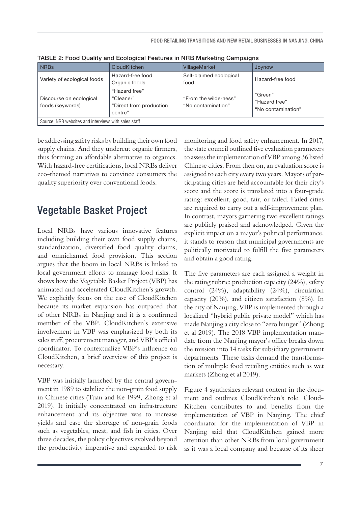| <b>NRBs</b>                                          | CloudKitchen                                                     | <b>VillageMarket</b>                        | Joynow                                         |  |  |
|------------------------------------------------------|------------------------------------------------------------------|---------------------------------------------|------------------------------------------------|--|--|
| Variety of ecological foods                          | Hazard-free food<br>Organic foods                                | Self-claimed ecological<br>food             | Hazard-free food                               |  |  |
| Discourse on ecological<br>foods (keywords)          | "Hazard free"<br>"Cleaner"<br>"Direct from production<br>centre" | "From the wilderness"<br>"No contamination" | "Green"<br>"Hazard free"<br>"No contamination" |  |  |
| Source: NRB websites and interviews with sales staff |                                                                  |                                             |                                                |  |  |

TABLE 2: Food Quality and Ecological Features in NRB Marketing Campaigns

be addressing safety risks by building their own food supply chains. And they undercut organic farmers, thus forming an affordable alternative to organics. With hazard-free certifications, local NRBs deliver eco-themed narratives to convince consumers the quality superiority over conventional foods.

### Vegetable Basket Project

Local NRBs have various innovative features including building their own food supply chains, standardization, diversified food quality claims, and omnichannel food provision. This section argues that the boom in local NRBs is linked to local government efforts to manage food risks. It shows how the Vegetable Basket Project (VBP) has animated and accelerated CloudKitchen's growth. We explicitly focus on the case of CloudKitchen because its market expansion has outpaced that of other NRBs in Nanjing and it is a confirmed member of the VBP. CloudKitchen's extensive involvement in VBP was emphasized by both its sales staff, procurement manager, and VBP's official coordinator. To contextualize VBP's influence on CloudKitchen, a brief overview of this project is necessary.

VBP was initially launched by the central government in 1989 to stabilize the non-grain food supply in Chinese cities (Tuan and Ke 1999, Zhong et al 2019). It initially concentrated on infrastructure enhancement and its objective was to increase yields and ease the shortage of non-grain foods such as vegetables, meat, and fish in cities. Over three decades, the policy objectives evolved beyond the productivity imperative and expanded to risk

monitoring and food safety enhancement. In 2017, the state council outlined five evaluation parameters to assess the implementation of VBP among 36 listed Chinese cities. From then on, an evaluation score is assigned to each city every two years. Mayors of participating cities are held accountable for their city's score and the score is translated into a four-grade rating: excellent, good, fair, or failed. Failed cities are required to carry out a self-improvement plan. In contrast, mayors garnering two excellent ratings are publicly praised and acknowledged. Given the explicit impact on a mayor's political performance, it stands to reason that municipal governments are politically motivated to fulfill the five parameters and obtain a good rating.

The five parameters are each assigned a weight in the rating rubric: production capacity (24%), safety control (24%), adaptability (24%), circulation capacity (20%), and citizen satisfaction (8%). In the city of Nanjing, VBP is implemented through a localized "hybrid public private model" which has made Nanjing a city close to "zero hunger" (Zhong et al 2019). The 2018 VBP implementation mandate from the Nanjing mayor's office breaks down the mission into 14 tasks for subsidiary government departments. These tasks demand the transformation of multiple food retailing entities such as wet markets (Zhong et al 2019).

Figure 4 synthesizes relevant content in the document and outlines CloudKitchen's role. Cloud-Kitchen contributes to and benefits from the implementation of VBP in Nanjing. The chief coordinator for the implementation of VBP in Nanjing said that CloudKitchen gained more attention than other NRBs from local government as it was a local company and because of its sheer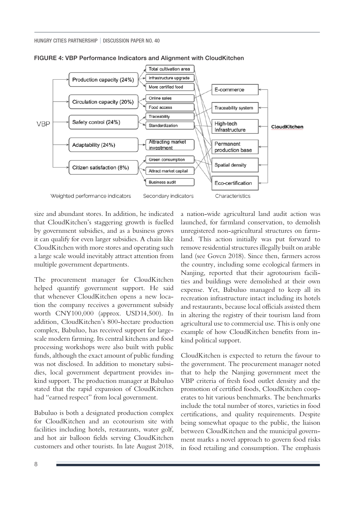



size and abundant stores. In addition, he indicated that CloudKitchen's staggering growth is fuelled by government subsidies, and as a business grows it can qualify for even larger subsidies. A chain like CloudKitchen with more stores and operating such a large scale would inevitably attract attention from multiple government departments.

The procurement manager for CloudKitchen helped quantify government support. He said that whenever CloudKitchen opens a new location the company receives a government subsidy worth CNY100,000 (approx. USD14,500). In addition, CloudKitchen's 800-hectare production complex, Babuluo, has received support for largescale modern farming. Its central kitchens and food processing workshops were also built with public funds, although the exact amount of public funding was not disclosed. In addition to monetary subsidies, local government department provides inkind support. The production manager at Babuluo stated that the rapid expansion of CloudKitchen had "earned respect" from local government.

Babuluo is both a designated production complex for CloudKitchen and an ecotourism site with facilities including hotels, restaurants, water golf, and hot air balloon fields serving CloudKitchen customers and other tourists. In late August 2018,

a nation-wide agricultural land audit action was launched, for farmland conservation, to demolish unregistered non-agricultural structures on farmland. This action initially was put forward to remove residential structures illegally built on arable land (see Govcn 2018). Since then, farmers across the country, including some ecological farmers in Nanjing, reported that their agrotourism facilities and buildings were demolished at their own expense. Yet, Babuluo managed to keep all its recreation infrastructure intact including its hotels and restaurants, because local officials assisted them in altering the registry of their tourism land from agricultural use to commercial use. This is only one example of how CloudKitchen benefits from inkind political support.

CloudKitchen is expected to return the favour to the government. The procurement manager noted that to help the Nanjing government meet the VBP criteria of fresh food outlet density and the promotion of certified foods, CloudKitchen cooperates to hit various benchmarks. The benchmarks include the total number of stores, varieties in food certifications, and quality requirements. Despite being somewhat opaque to the public, the liaison between CloudKitchen and the municipal government marks a novel approach to govern food risks in food retailing and consumption. The emphasis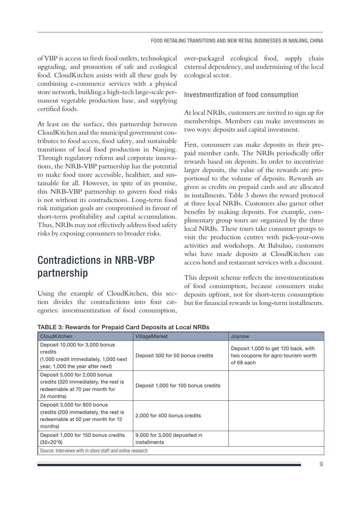of VBP is access to fresh food outlets, technological upgrading, and promotion of safe and ecological food. CloudKitchen assists with all these goals by combining e-commerce services with a physical store network, building a high-tech large-scale permanent vegetable production base, and supplying certified foods.

At least on the surface, this partnership between CloudKitchen and the municipal government contributes to food access, food safety, and sustainable transitions of local food production in Nanjing. Through regulatory reform and corporate innovations, the NRB-VBP partnership has the potential to make food more accessible, healthier, and sustainable for all. However, in spite of its promise, this NRB-VBP partnership to govern food risks is not without its contradictions. Long-term food risk mitigation goals are compromised in favour of short-term profitability and capital accumulation. Thus, NRBs may not effectively address food safety risks by exposing consumers to broader risks.

# Contradictions in NRB-VBP partnership

Using the example of CloudKitchen, this section divides the contradictions into four categories: investmentization of food consumption, over-packaged ecological food, supply chain external dependency, and undermining of the local ecological sector.

Investmentization of food consumption

At local NRBs, customers are invited to sign up for memberships. Members can make investments in two ways: deposits and capital investment.

First, consumers can make deposits in their prepaid member cards. The NRBs periodically offer rewards based on deposits. In order to incentivize larger deposits, the value of the rewards are proportional to the volume of deposits. Rewards are given as credits on prepaid cards and are allocated in installments. Table 3 shows the reward protocol at three local NRBs. Customers also garner other benefits by making deposits. For example, complimentary group tours are organized by the three local NRBs. These tours take consumer groups to visit the production centres with pick-your-own activities and workshops. At Babuluo, customers who have made deposits at CloudKitchen can access hotel and restaurant services with a discount.

This deposit scheme reflects the investmentization of food consumption, because consumers make deposits upfront, not for short-term consumption but for financial rewards in long-term installments.

| CloudKitchen                                                                                                            | VillageMarket                                | Joynow                                                                                  |  |  |  |
|-------------------------------------------------------------------------------------------------------------------------|----------------------------------------------|-----------------------------------------------------------------------------------------|--|--|--|
| Deposit 10,000 for 3,000 bonus<br>credits<br>(1,000 credit immediately, 1,000 next)<br>year, 1,000 the year after next) | Deposit 500 for 50 bonus credits             | Deposit 1,000 to get 120 back, with<br>two coupons for agro-tourism worth<br>of 68 each |  |  |  |
| Deposit 5,000 for 2,000 bonus<br>credits (320 immediately, the rest is<br>redeemable at 70 per month for<br>24 months)  | Deposit 1,000 for 100 bonus credits          |                                                                                         |  |  |  |
| Deposit 3,000 for 800 bonus<br>credits (200 immediately, the rest is<br>redeemable at 50 per month for 12<br>months)    | 2,000 for 400 bonus credits                  |                                                                                         |  |  |  |
| Deposit 1,000 for 150 bonus credits<br>$(30+20*6)$                                                                      | 9,000 for 3,000 deposited in<br>installments |                                                                                         |  |  |  |
| Source: Interviews with in-store staff and online research                                                              |                                              |                                                                                         |  |  |  |

TABLE 3: Rewards for Prepaid Card Deposits at Local NRBs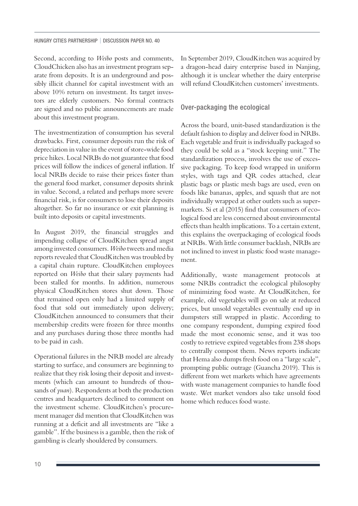Second, according to *Weibo* posts and comments, CloudChicken also has an investment program separate from deposits. It is an underground and possibly illicit channel for capital investment with an above 10% return on investment. Its target investors are elderly customers. No formal contracts are signed and no public announcements are made about this investment program.

The investmentization of consumption has several drawbacks. First, consumer deposits run the risk of depreciation in value in the event of store-wide food price hikes. Local NRBs do not guarantee that food prices will follow the indices of general inflation. If local NRBs decide to raise their prices faster than the general food market, consumer deposits shrink in value. Second, a related and perhaps more severe financial risk, is for consumers to lose their deposits altogether. So far no insurance or exit planning is built into deposits or capital investments.

In August 2019, the financial struggles and impending collapse of CloudKitchen spread angst among invested consumers. *Weibo* tweets and media reports revealed that CloudKitchen was troubled by a capital chain rupture. CloudKitchen employees reported on *Weibo* that their salary payments had been stalled for months. In addition, numerous physical CloudKitchen stores shut down. Those that remained open only had a limited supply of food that sold out immediately upon delivery; CloudKitchen announced to consumers that their membership credits were frozen for three months and any purchases during those three months had to be paid in cash.

Operational failures in the NRB model are already starting to surface, and consumers are beginning to realize that they risk losing their deposit and investments (which can amount to hundreds of thousands of *yuan*). Respondents at both the production centres and headquarters declined to comment on the investment scheme. CloudKitchen's procurement manager did mention that CloudKitchen was running at a deficit and all investments are "like a gamble". If the business is a gamble, then the risk of gambling is clearly shouldered by consumers.

In September 2019, CloudKitchen was acquired by a dragon-head dairy enterprise based in Nanjing, although it is unclear whether the dairy enterprise will refund CloudKitchen customers' investments.

#### Over-packaging the ecological

Across the board, unit-based standardization is the default fashion to display and deliver food in NRBs. Each vegetable and fruit is individually packaged so they could be sold as a "stock keeping unit." The standardization process, involves the use of excessive packaging. To keep food wrapped in uniform styles, with tags and QR codes attached, clear plastic bags or plastic mesh bags are used, even on foods like bananas, apples, and squash that are not individually wrapped at other outlets such as supermarkets. Si et al (2015) find that consumers of ecological food are less concerned about environmental effects than health implications. To a certain extent, this explains the overpackaging of ecological foods at NRBs. With little consumer backlash, NRBs are not inclined to invest in plastic food waste management.

Additionally, waste management protocols at some NRBs contradict the ecological philosophy of minimizing food waste. At CloudKitchen, for example, old vegetables will go on sale at reduced prices, but unsold vegetables eventually end up in dumpsters still wrapped in plastic. According to one company respondent, dumping expired food made the most economic sense, and it was too costly to retrieve expired vegetables from 238 shops to centrally compost them. News reports indicate that Hema also dumps fresh food on a "large scale", prompting public outrage (Guancha 2019). This is different from wet markets which have agreements with waste management companies to handle food waste. Wet market vendors also take unsold food home which reduces food waste.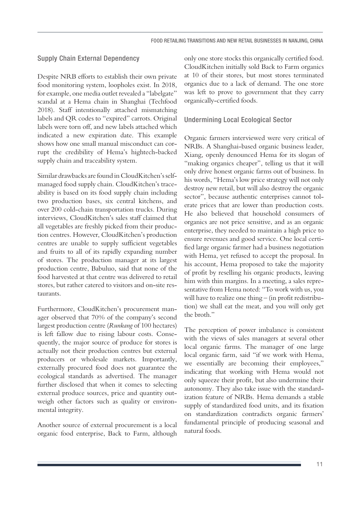#### Supply Chain External Dependency

Despite NRB efforts to establish their own private food monitoring system, loopholes exist. In 2018, for example, one media outlet revealed a "labelgate" scandal at a Hema chain in Shanghai (Techfood 2018). Staff intentionally attached mismatching labels and QR codes to "expired" carrots. Original labels were torn off, and new labels attached which indicated a new expiration date. This example shows how one small manual misconduct can corrupt the credibility of Hema's hightech-backed supply chain and traceability system.

Similar drawbacks are found in CloudKitchen's selfmanaged food supply chain. CloudKitchen's traceability is based on its food supply chain including two production bases, six central kitchens, and over 200 cold-chain transportation trucks. During interviews, CloudKitchen's sales staff claimed that all vegetables are freshly picked from their production centres. However, CloudKitchen's production centres are unable to supply sufficient vegetables and fruits to all of its rapidly expanding number of stores. The production manager at its largest production centre, Babuluo, said that none of the food harvested at that centre was delivered to retail stores, but rather catered to visitors and on-site restaurants.

Furthermore, CloudKitchen's procurement manager observed that 70% of the company's second largest production centre (*Runkang* of 100 hectares) is left fallow due to rising labour costs. Consequently, the major source of produce for stores is actually not their production centres but external producers or wholesale markets. Importantly, externally procured food does not guarantee the ecological standards as advertised. The manager further disclosed that when it comes to selecting external produce sources, price and quantity outweigh other factors such as quality or environmental integrity.

Another source of external procurement is a local organic food enterprise, Back to Farm, although only one store stocks this organically certified food. CloudKitchen initially sold Back to Farm organics at 10 of their stores, but most stores terminated organics due to a lack of demand. The one store was left to prove to government that they carry organically-certified foods.

#### Undermining Local Ecological Sector

Organic farmers interviewed were very critical of NRBs. A Shanghai-based organic business leader, Xiang, openly denounced Hema for its slogan of "making organics cheaper", telling us that it will only drive honest organic farms out of business. In his words, "Hema's low price strategy will not only destroy new retail, but will also destroy the organic sector", because authentic enterprises cannot tolerate prices that are lower than production costs. He also believed that household consumers of organics are not price sensitive, and as an organic enterprise, they needed to maintain a high price to ensure revenues and good service. One local certified large organic farmer had a business negotiation with Hema, yet refused to accept the proposal. In his account, Hema proposed to take the majority of profit by reselling his organic products, leaving him with thin margins. In a meeting, a sales representative from Hema noted: "To work with us, you will have to realize one thing – (in profit redistribution) we shall eat the meat, and you will only get the broth."

The perception of power imbalance is consistent with the views of sales managers at several other local organic farms. The manager of one large local organic farm, said "if we work with Hema, we essentially are becoming their employees," indicating that working with Hema would not only squeeze their profit, but also undermine their autonomy. They also take issue with the standardization feature of NRBs. Hema demands a stable supply of standardized food units, and its fixation on standardization contradicts organic farmers' fundamental principle of producing seasonal and natural foods.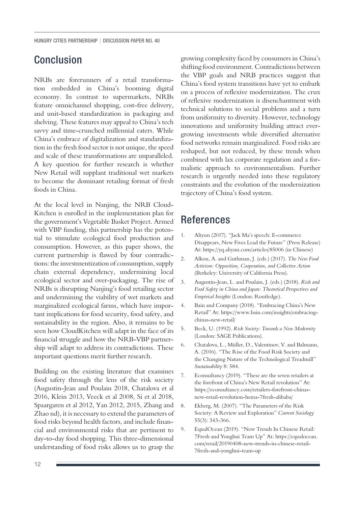### Conclusion

NRBs are forerunners of a retail transformation embedded in China's booming digital economy. In contrast to supermarkets, NRBs feature omnichannel shopping, cost-free delivery, and unit-based standardization in packaging and shelving. These features may appeal to China's tech savvy and time-crunched millennial eaters. While China's embrace of digitalization and standardization in the fresh food sector is not unique, the speed and scale of these transformations are unparalleled. A key question for further research is whether New Retail will supplant traditional wet markets to become the dominant retailing format of fresh foods in China.

At the local level in Nanjing, the NRB Cloud-Kitchen is enrolled in the implementation plan for the government's Vegetable Basket Project. Armed with VBP funding, this partnership has the potential to stimulate ecological food production and consumption. However, as this paper shows, the current partnership is flawed by four contradictions: the investmentization of consumption, supply chain external dependency, undermining local ecological sector and over-packaging. The rise of NRBs is disrupting Nanjing's food retailing sector and undermining the viability of wet markets and marginalized ecological farms, which have important implications for food security, food safety, and sustainability in the region. Also, it remains to be seen how CloudKitchen will adapt in the face of its financial struggle and how the NRB-VBP partnership will adapt to address its contradictions. These important questions merit further research.

Building on the existing literature that examines food safety through the lens of the risk society (Augustin-Jean and Poulain 2018, Chatalova et al 2016, Klein 2013, Veeck et al 2008, Si et al 2018, Spaargaren et al 2012, Yan 2012, 2015, Zhang and Zhao nd), it is necessary to extend the parameters of food risks beyond health factors, and include financial and environmental risks that are pertinent to day-to-day food shopping. This three-dimensional understanding of food risks allows us to grasp the

growing complexity faced by consumers in China's shifting food environment. Contradictions between the VBP goals and NRB practices suggest that China's food system transitions have yet to embark on a process of reflexive modernization. The crux of reflexive modernization is disenchantment with technical solutions to social problems and a turn from uniformity to diversity. However, technology innovations and uniformity building attract evergrowing investments while diversified alternative food networks remain marginalized. Food risks are reshaped, but not reduced, by these trends when combined with lax corporate regulation and a formalistic approach to environmentalism. Further research is urgently needed into these regulatory constraints and the evolution of the modernization trajectory of China's food system.

### References

- 1. Aliyun (2017). "Jack Ma's speech: E-commerce Disappears, New Fives Lead the Future" (Press Release) At: <https://yq.aliyun.com/articles/85006> (in Chinese)
- 2. Alkon, A. and Guthman, J. (eds.) (2017). *The New Food Activism: Opposition, Cooperation, and Collective Action* (Berkeley: University of California Press).
- 3. Augustin-Jean, L. and Poulain, J. (eds.) (2018). *Risk and Food Safety in China and Japan: Theoretical Perspectives and Empirical Insights* (London: Routledge).
- 4. Bain and Company (2018). "Embracing China's New Retail" At: [https://www.bain.com/insights/embracing](https://www.bain.com/insights/embracing-chinas-new-retail/)[chinas-new-retail/](https://www.bain.com/insights/embracing-chinas-new-retail/)
- 5. Beck, U. (1992). *Risk Society: Towards a New Modernity* (London: SAGE Publications).
- 6. Chatalova, L., Müller, D., Valentinov, V. and Balmann, A. (2016). "The Rise of the Food Risk Society and the Changing Nature of the Technological Treadmill" *Sustainability* 8: 584.
- 7. Econsultancy (2019). "These are the seven retailers at the forefront of China's New Retail revolution" At: [https://econsultancy.com/retailers-forefront-chinas](https://econsultancy.com/retailers-forefront-chinas-new-retail-revolution-hema-7fresh-alibaba/)[new-retail-revolution-hema-7fresh-alibaba/](https://econsultancy.com/retailers-forefront-chinas-new-retail-revolution-hema-7fresh-alibaba/)
- 8. Ekberg, M. (2007). "The Parameters of the Risk Society: A Review and Exploration" *Current Sociology*  55(3): 343-366.
- 9. EqualOcean (2019). "New Trends In Chinese Retail: 7Fresh and Yonghui Team Up" At: [https://equalocean.](https://equalocean.com/retail/20190408-new-trends-in-chinese-retail-7fresh-and-yonghui-team-up) [com/retail/20190408-new-trends-in-chinese-retail-](https://equalocean.com/retail/20190408-new-trends-in-chinese-retail-7fresh-and-yonghui-team-up)[7fresh-and-yonghui-team-up](https://equalocean.com/retail/20190408-new-trends-in-chinese-retail-7fresh-and-yonghui-team-up)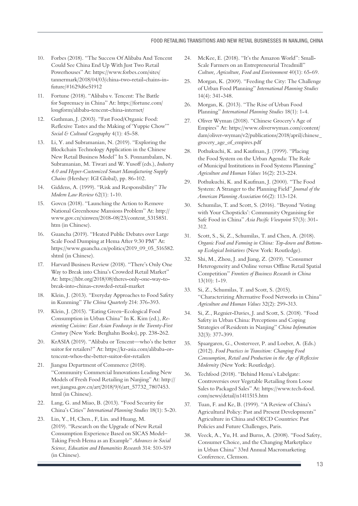- 10. Forbes (2018). "The Success Of Alibaba And Tencent Could See China End Up With Just Two Retail Powerhouses" At: [https://www.forbes.com/sites/](https://www.forbes.com/sites/tannermark/2018/04/03/china-two-retail-chains-in-future/#1629d6e51912) [tannermark/2018/04/03/china-two-retail-chains-in](https://www.forbes.com/sites/tannermark/2018/04/03/china-two-retail-chains-in-future/#1629d6e51912)[future/#1629d6e51912](https://www.forbes.com/sites/tannermark/2018/04/03/china-two-retail-chains-in-future/#1629d6e51912)
- 11. Fortune (2018). "Alibaba v. Tencent: The Battle for Supremacy in China" At: [https://fortune.com/](https://fortune.com/longform/alibaba-tencent-china-internet/) [longform/alibaba-tencent-china-internet/](https://fortune.com/longform/alibaba-tencent-china-internet/)
- 12. Guthman, J. (2003). "Fast Food/Organic Food: Reflexive Tastes and the Making of 'Yuppie Chow'" *Social & Cultural Geography* 4(1): 45-58.
- 13. Li, Y. and Subramanian, N. (2019). "Exploring the Blockchain Technology Application in the Chinese New Retail Business Model" In S. Ponnambalam, N. Subramanian, M. Tiwari and W. Yusoff (eds.), *Industry 4.0 and Hyper-Customized Smart Manufacturing Supply Chains* (Hershey: IGI Global), pp. 86-102.
- 14. Giddens, A. (1999). "Risk and Responsibility" *The Modern Law Review* 62(1): 1-10.
- 15. Govcn (2018). "Launching the Action to Remove National Greenhouse Mansions Problem" At: [http://](http://www.gov.cn/xinwen/2018-08/23/content_5315851.htm) [www.gov.cn/xinwen/2018-08/23/content\\_5315851.](http://www.gov.cn/xinwen/2018-08/23/content_5315851.htm) [htm](http://www.gov.cn/xinwen/2018-08/23/content_5315851.htm) (in Chinese).
- 16. Guancha (2019). "Heated Public Debates over Large Scale Food Dumping at Hema After 9:30 PM" At: [https://www.guancha.cn/politics/2019\\_09\\_05\\_516582.](https://www.guancha.cn/politics/2019_09_05_516582.shtml) [shtml](https://www.guancha.cn/politics/2019_09_05_516582.shtml) (in Chinese).
- 17. Harvard Business Review (2018). "There's Only One Way to Break into China's Crowded Retail Market" At: [https://hbr.org/2018/08/theres-only-one-way-to](https://hbr.org/2018/08/theres-only-one-way-to-break-into-chinas-crowded-retail-market)[break-into-chinas-crowded-retail-market](https://hbr.org/2018/08/theres-only-one-way-to-break-into-chinas-crowded-retail-market)
- 18. Klein, J. (2013). "Everyday Approaches to Food Safety in Kunming" *The China Quarterly* 214: 376-393.
- 19. Klein, J. (2015). "Eating Green–Ecological Food Consumption in Urban China" In K. Kim (ed.), *Reorienting Cuisine: East Asian Foodways in the Twenty-First Century* (New York: Berghahn Books), pp. 238-262.
- 20. KrASIA (2019). "Alibaba or Tencent—who's the better suitor for retailers?" At: [https://kr-asia.com/alibaba-or](https://kr-asia.com/alibaba-or-tencent-whos-the-better-suitor-for-retailers)[tencent-whos-the-better-suitor-for-retailers](https://kr-asia.com/alibaba-or-tencent-whos-the-better-suitor-for-retailers)
- 21. Jiangsu Department of Commerce (2018). "Community Commercial Innovations Leading New Models of Fresh Food Retailing in Nanjing" At: [http://](http://swt.jiangsu.gov.cn/art/2018/9/6/art_57732_7807453.html) [swt.jiangsu.gov.cn/art/2018/9/6/art\\_57732\\_7807453.](http://swt.jiangsu.gov.cn/art/2018/9/6/art_57732_7807453.html) [html](http://swt.jiangsu.gov.cn/art/2018/9/6/art_57732_7807453.html) (in Chinese).
- 22. Lang, G. and Miao, B. (2013). "Food Security for China's Cities" *International Planning Studies* 18(1): 5-20.
- 23. Lin, Y., H, Chen., F, Lin. and Huang, M. (2019). "Research on the Upgrade of New Retail Consumption Experience Based on SICAS Model– Taking Fresh Hema as an Example" *Advances in Social Science, Education and Humanities Research* 314: 510-519 (in Chinese).
- 24. McKee, E. (2018). "It's the Amazon World": Small-Scale Farmers on an Entrepreneurial Treadmill" *Culture, Agriculture, Food and Environment* 40(1): 65-69.
- 25. Morgan, K. (2009). "Feeding the City: The Challenge of Urban Food Planning" *International Planning Studies* 14(4): 341-348.
- 26. Morgan, K. (2013). "The Rise of Urban Food Planning" *International Planning Studies* 18(1): 1-4.
- 27. Oliver Wyman (2018). "Chinese Grocery's Age of Empires" At: [https://www.oliverwyman.com/content/](https://www.oliverwyman.com/content/dam/oliver-wyman/v2/publications/2018/april/chinese_grocery_age_of_empires.pdf) [dam/oliver-wyman/v2/publications/2018/april/chinese\\_](https://www.oliverwyman.com/content/dam/oliver-wyman/v2/publications/2018/april/chinese_grocery_age_of_empires.pdf) [grocery\\_age\\_of\\_empires.pdf](https://www.oliverwyman.com/content/dam/oliver-wyman/v2/publications/2018/april/chinese_grocery_age_of_empires.pdf)
- 28. Pothukuchi, K. and Kaufman, J. (1999). "Placing the Food System on the Urban Agenda: The Role of Municipal Institutions in Food Systems Planning" *Agriculture and Human Values* 16(2): 213-224.
- 29. Pothukuchi, K. and Kaufman, J. (2000). "The Food System: A Stranger to the Planning Field" *Journal of the American Planning Association* 66(2): 113-124.
- 30. Schumilas, T. and Scott, S. (2016). "Beyond 'Voting with Your Chopsticks': Community Organising for Safe Food in China" *Asia Pacific Viewpoint* 57(3): 301- 312.
- 31. Scott, S., Si, Z., Schumilas, T. and Chen, A. (2018). *Organic Food and Farming in China: Top-down and Bottomup Ecological Initiatives* (New York: Routledge).
- 32. Shi, M., Zhou, J. and Jiang, Z. (2019). "Consumer Heterogeneity and Online versus Offline Retail Spatial Competition" *Frontiers of Business Research in China*  13(10): 1-19.
- 33. Si, Z., Schumilas, T. and Scott, S. (2015). "Characterizing Alternative Food Networks in China" *Agriculture and Human Values* 32(2): 299-313.
- 34. Si, Z., Regnier-Davies, J. and Scott, S. (2018). "Food Safety in Urban China: Perceptions and Coping Strategies of Residents in Nanjing" *China Information* 32(3): 377-399.
- 35. Spaargaren, G., Oosterveer, P. and Loeber, A. (Eds.) (2012). *Food Practices in Transition: Changing Food Consumption, Retail and Production in the Age of Reflexive Modernity* (New York: Routledge).
- 36. Techfood (2018). "Behind Hema's Labelgate: Controversies over Vegetable Retailing from Loose Sales to Packaged Sales" At: [https://www.tech-food.](https://www.tech-food.com/news/detail/n1411515.htm) [com/news/detail/n1411515.htm](https://www.tech-food.com/news/detail/n1411515.htm)
- 37. Tuan, F. and Ke, B. (1999). "A Review of China's Agricultural Policy: Past and Present Developments" Agriculture in China and OECD Countries: Past Policies and Future Challenges, Paris.
- 38. Veeck, A., Yu, H. and Burns, A. (2008). "Food Safety, Consumer Choice, and the Changing Marketplace in Urban China" 33rd Annual Macromarketing Conference, Clemson.